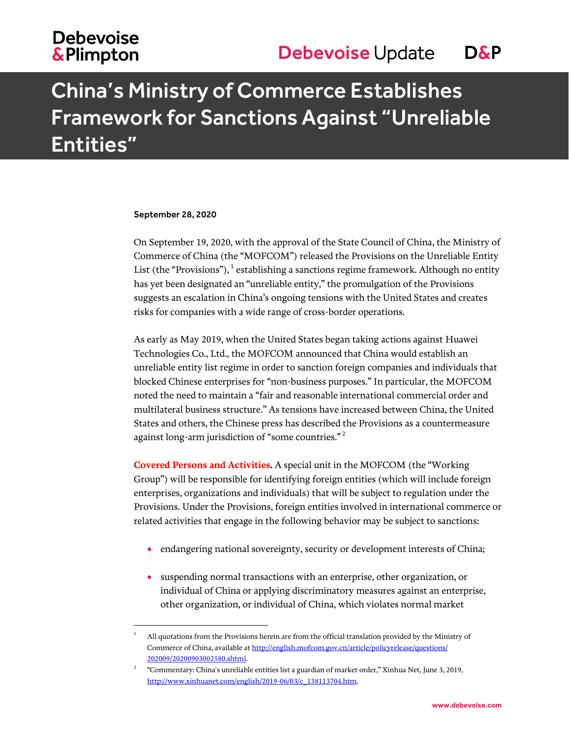## **Debevoise &Plimpton**

# China's Ministry of Commerce Establishes Framework for Sanctions Against "Unreliable Entities"

### September 28, 2020

l

On September 19, 2020, with the approval of the State Council of China, the Ministry of Commerce of China (the "MOFCOM") released the Provisions on the Unreliable Entity List (the "Provisions"),  $^1$  establishing a sanctions regime framework. Although no entity has yet been designated an "unreliable entity," the promulgation of the Provisions suggests an escalation in China's ongoing tensions with the United States and creates risks for companies with a wide range of cross-border operations.

As early as May 2019, when the United States began taking actions against Huawei Technologies Co., Ltd., the MOFCOM announced that China would establish an unreliable entity list regime in order to sanction foreign companies and individuals that blocked Chinese enterprises for "non-business purposes." In particular, the MOFCOM noted the need to maintain a "fair and reasonable international commercial order and multilateral business structure." As tensions have increased between China, the United States and others, the Chinese press has described the Provisions as a countermeasure against long-arm jurisdiction of "some countries."  $^{\rm 2}$ 

**Covered Persons and Activities.** A special unit in the MOFCOM (the "Working Group") will be responsible for identifying foreign entities (which will include foreign enterprises, organizations and individuals) that will be subject to regulation under the Provisions. Under the Provisions, foreign entities involved in international commerce or related activities that engage in the following behavior may be subject to sanctions:

- endangering national sovereignty, security or development interests of China;
- suspending normal transactions with an enterprise, other organization, or individual of China or applying discriminatory measures against an enterprise, other organization, or individual of China, which violates normal market

<sup>1</sup> All quotations from the Provisions herein are from the official translation provided by the Ministry of Commerce of China, available a[t http://english.mofcom.gov.cn/article/policyrelease/questions/](http://english.mofcom.gov.cn/article/policyrelease/questions/202009/20200903002580.shtml) [202009/20200903002580.shtml.](http://english.mofcom.gov.cn/article/policyrelease/questions/202009/20200903002580.shtml)

<sup>2</sup> "Commentary: China's unreliable entities list a guardian of market order," Xinhua Net, June 3, 2019, [http://www.xinhuanet.com/english/2019-06/03/c\\_138113704.htm.](http://www.xinhuanet.com/english/2019-06/03/c_138113704.htm)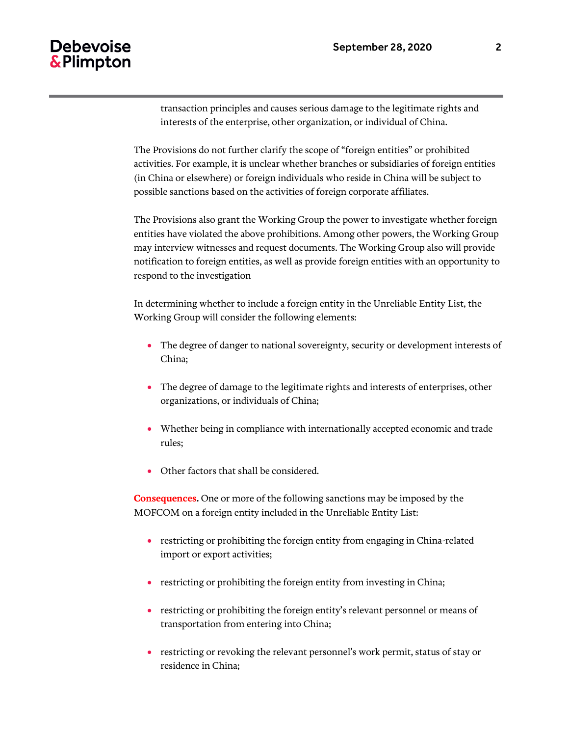transaction principles and causes serious damage to the legitimate rights and interests of the enterprise, other organization, or individual of China.

The Provisions do not further clarify the scope of "foreign entities" or prohibited activities. For example, it is unclear whether branches or subsidiaries of foreign entities (in China or elsewhere) or foreign individuals who reside in China will be subject to possible sanctions based on the activities of foreign corporate affiliates.

The Provisions also grant the Working Group the power to investigate whether foreign entities have violated the above prohibitions. Among other powers, the Working Group may interview witnesses and request documents. The Working Group also will provide notification to foreign entities, as well as provide foreign entities with an opportunity to respond to the investigation

In determining whether to include a foreign entity in the Unreliable Entity List, the Working Group will consider the following elements:

- The degree of danger to national sovereignty, security or development interests of China;
- The degree of damage to the legitimate rights and interests of enterprises, other organizations, or individuals of China;
- Whether being in compliance with internationally accepted economic and trade rules;
- Other factors that shall be considered.

**Consequences.** One or more of the following sanctions may be imposed by the MOFCOM on a foreign entity included in the Unreliable Entity List:

- restricting or prohibiting the foreign entity from engaging in China-related import or export activities;
- restricting or prohibiting the foreign entity from investing in China;
- restricting or prohibiting the foreign entity's relevant personnel or means of transportation from entering into China;
- restricting or revoking the relevant personnel's work permit, status of stay or residence in China;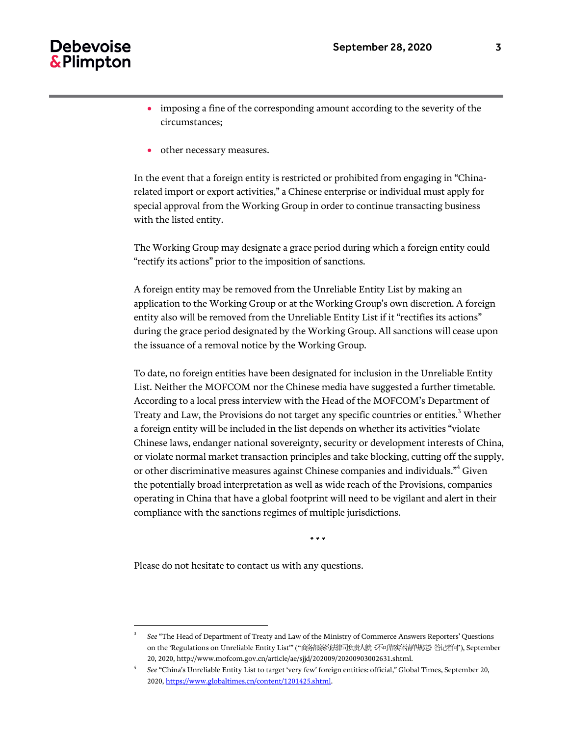### Debevoise & Plimpton

- imposing a fine of the corresponding amount according to the severity of the circumstances;
- other necessary measures.

In the event that a foreign entity is restricted or prohibited from engaging in "Chinarelated import or export activities," a Chinese enterprise or individual must apply for special approval from the Working Group in order to continue transacting business with the listed entity.

The Working Group may designate a grace period during which a foreign entity could "rectify its actions" prior to the imposition of sanctions.

A foreign entity may be removed from the Unreliable Entity List by making an application to the Working Group or at the Working Group's own discretion. A foreign entity also will be removed from the Unreliable Entity List if it "rectifies its actions" during the grace period designated by the Working Group. All sanctions will cease upon the issuance of a removal notice by the Working Group.

To date, no foreign entities have been designated for inclusion in the Unreliable Entity List. Neither the MOFCOM nor the Chinese media have suggested a further timetable. According to a local press interview with the Head of the MOFCOM's Department of Treaty and Law, the Provisions do not target any specific countries or entities.<sup>3</sup> Whether a foreign entity will be included in the list depends on whether its activities "violate Chinese laws, endanger national sovereignty, security or development interests of China, or violate normal market transaction principles and take blocking, cutting off the supply, or other discriminative measures against Chinese companies and individuals."<sup>4</sup> Given the potentially broad interpretation as well as wide reach of the Provisions, companies operating in China that have a global footprint will need to be vigilant and alert in their compliance with the sanctions regimes of multiple jurisdictions.

\* \* \*

Please do not hesitate to contact us with any questions.

l

<sup>3</sup> *See* "The Head of Department of Treaty and Law of the Ministry of Commerce Answers Reporters' Questions on the 'Regulations on Unreliable Entity List'" ("商务部条约法律司负责人就《不可靠实体清单规定》答记者问"), September 20, 2020, http://www.mofcom.gov.cn/article/ae/sjjd/202009/20200903002631.shtml.

<sup>4</sup> *See* "China's Unreliable Entity List to target 'very few' foreign entities: official," Global Times, September 20, 2020[, https://www.globaltimes.cn/content/1201425.shtml.](https://www.globaltimes.cn/content/1201425.shtml)